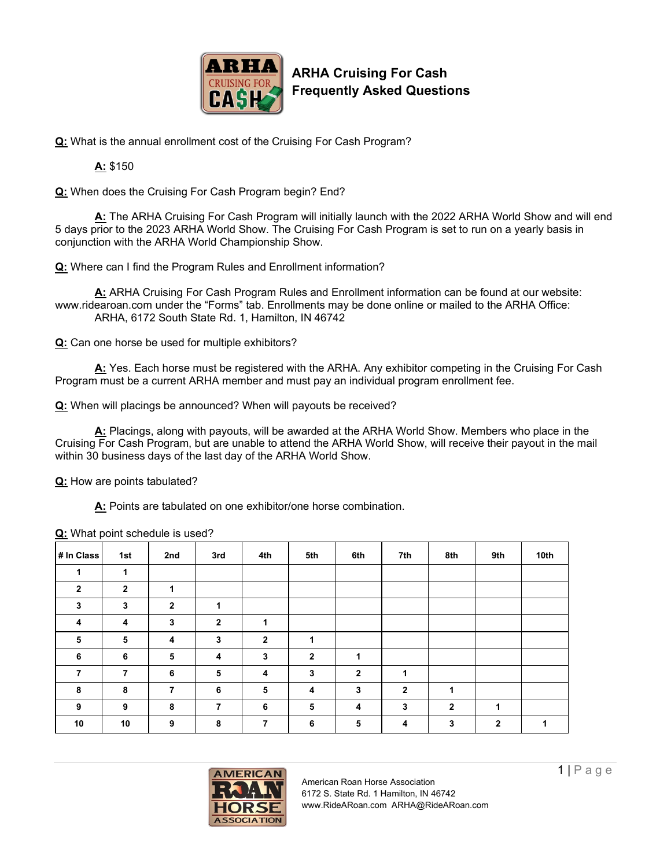

**ARHA Cruising For Cash Frequently Asked Questions**

**Q:** What is the annual enrollment cost of the Cruising For Cash Program?

**A:** \$150

**Q:** When does the Cruising For Cash Program begin? End?

**A:** The ARHA Cruising For Cash Program will initially launch with the 2022 ARHA World Show and will end 5 days prior to the 2023 ARHA World Show. The Cruising For Cash Program is set to run on a yearly basis in conjunction with the ARHA World Championship Show.

**Q:** Where can I find the Program Rules and Enrollment information?

**A:** ARHA Cruising For Cash Program Rules and Enrollment information can be found at our website: www.ridearoan.com under the "Forms" tab. Enrollments may be done online or mailed to the ARHA Office: ARHA, 6172 South State Rd. 1, Hamilton, IN 46742

**Q:** Can one horse be used for multiple exhibitors?

**A:** Yes. Each horse must be registered with the ARHA. Any exhibitor competing in the Cruising For Cash Program must be a current ARHA member and must pay an individual program enrollment fee.

**Q:** When will placings be announced? When will payouts be received?

**A:** Placings, along with payouts, will be awarded at the ARHA World Show. Members who place in the Cruising For Cash Program, but are unable to attend the ARHA World Show, will receive their payout in the mail within 30 business days of the last day of the ARHA World Show.

**Q:** How are points tabulated?

**A:** Points are tabulated on one exhibitor/one horse combination.

| # In Class   | 1st          | 2nd            | 3rd            | 4th          | 5th          | 6th            | 7th            | 8th          | 9th          | 10th |
|--------------|--------------|----------------|----------------|--------------|--------------|----------------|----------------|--------------|--------------|------|
| 4            | 1            |                |                |              |              |                |                |              |              |      |
| $\mathbf{2}$ | $\mathbf{2}$ | 1              |                |              |              |                |                |              |              |      |
| 3            | 3            | $\overline{2}$ | 1              |              |              |                |                |              |              |      |
| 4            | 4            | 3              | $\overline{2}$ | 1            |              |                |                |              |              |      |
| 5            | 5            | 4              | $\mathbf{3}$   | $\mathbf{2}$ | 1            |                |                |              |              |      |
| 6            | 6            | 5              | 4              | 3            | $\mathbf{2}$ | 1              |                |              |              |      |
| 7            | 7            | 6              | 5              | 4            | 3            | $\overline{2}$ | 1              |              |              |      |
| 8            | 8            | 7              | 6              | 5            | 4            | 3              | $\overline{2}$ | 1            |              |      |
| 9            | 9            | 8              | $\overline{7}$ | 6            | 5            | 4              | 3              | $\mathbf{2}$ | 1            |      |
| 10           | 10           | 9              | 8              | 7            | 6            | 5              | 4              | 3            | $\mathbf{2}$ | 1    |

**Q:** What point schedule is used?



American Roan Horse Association 6172 S. State Rd. 1 Hamilton, IN 46742 www.RideARoan.com ARHA@RideARoan.com